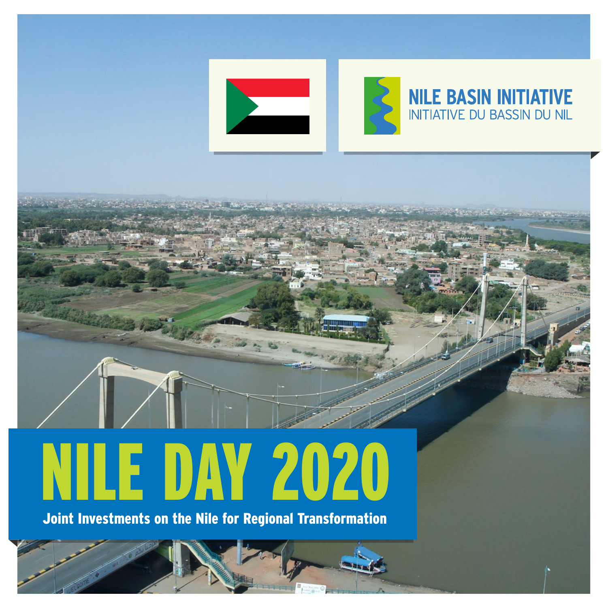

Editorial Committee

# Chair Dorothy Kage was a company of the chair Dorothy Kage was a company of the chair Dorothy Chair Dorothy Association Editor Jane K. Baitwa NILE DAY 2020

Joint Investments on the Nile for Regional Transformation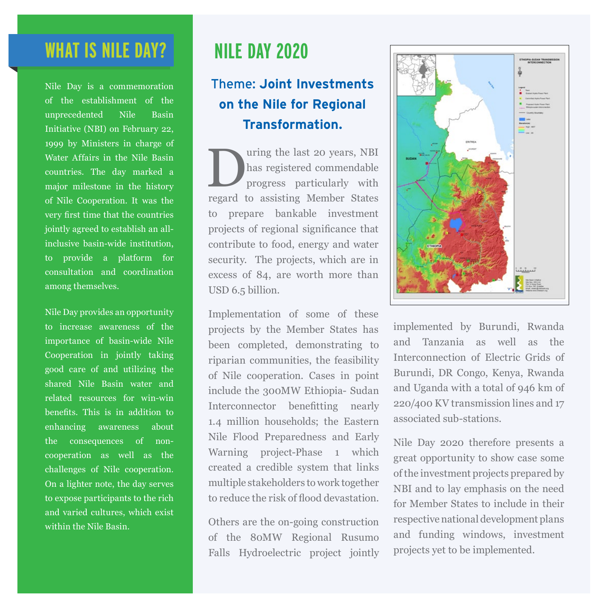### **WHAT IS NILE DAY?**

Nile Day is a commemoration of the establishment of the unprecedented Nile Basin Initiative (NBI) on February 22, 1999 by Ministers in charge of Water Affairs in the Nile Basin countries. The day marked a major milestone in the history of Nile Cooperation. It was the very first time that the countries jointly agreed to establish an allinclusive basin-wide institution, to provide a platform for consultation and coordination among themselves.

Nile Day provides an opportunity to increase awareness of the importance of basin-wide Nile Cooperation in jointly taking good care of and utilizing the shared Nile Basin water and related resources for win-win benefits. This is in addition to enhancing awareness about the consequences of noncooperation as well as the challenges of Nile cooperation. On a lighter note, the day serves to expose participants to the rich and varied cultures, which exist within the Nile Basin.

## **NILE DAY 2020**

#### Theme: **Joint Investments on the Nile for Regional Transformation.**

Using the last 20 years, NBI<br>has registered commendable<br>progress particularly with has registered commendable progress particularly with regard to assisting Member States to prepare bankable investment projects of regional significance that contribute to food, energy and water security. The projects, which are in excess of 84, are worth more than USD 6.5 billion.

Implementation of some of these projects by the Member States has been completed, demonstrating to riparian communities, the feasibility of Nile cooperation. Cases in point include the 300MW Ethiopia- Sudan Interconnector benefitting nearly 1.4 million households; the Eastern Nile Flood Preparedness and Early Warning project-Phase 1 which created a credible system that links multiple stakeholders to work together to reduce the risk of flood devastation.

Others are the on-going construction of the 80MW Regional Rusumo Falls Hydroelectric project jointly



implemented by Burundi, Rwanda and Tanzania as well as the Interconnection of Electric Grids of Burundi, DR Congo, Kenya, Rwanda and Uganda with a total of 946 km of 220/400 KV transmission lines and 17 associated sub-stations.

Nile Day 2020 therefore presents a great opportunity to show case some of the investment projects prepared by NBI and to lay emphasis on the need for Member States to include in their respective national development plans and funding windows, investment projects yet to be implemented.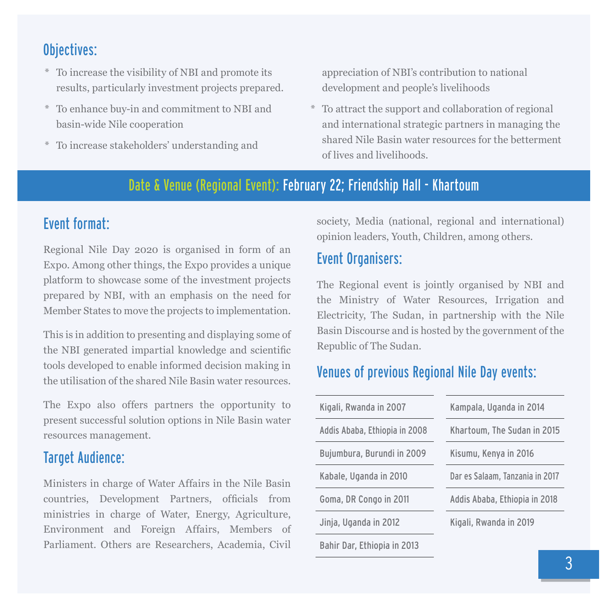#### Objectives:

- \* To increase the visibility of NBI and promote its results, particularly investment projects prepared.
- \* To enhance buy-in and commitment to NBI and basin-wide Nile cooperation
- \* To increase stakeholders' understanding and

appreciation of NBI's contribution to national development and people's livelihoods

\* To attract the support and collaboration of regional and international strategic partners in managing the shared Nile Basin water resources for the betterment of lives and livelihoods.

#### Date & Venue (Regional Event): February 22; Friendship Hall - Khartoum

#### Event format:

Regional Nile Day 2020 is organised in form of an Expo. Among other things, the Expo provides a unique platform to showcase some of the investment projects prepared by NBI, with an emphasis on the need for Member States to move the projects to implementation.

This is in addition to presenting and displaying some of the NBI generated impartial knowledge and scientific tools developed to enable informed decision making in the utilisation of the shared Nile Basin water resources.

The Expo also offers partners the opportunity to present successful solution options in Nile Basin water resources management.

#### Target Audience:

Ministers in charge of Water Affairs in the Nile Basin countries, Development Partners, officials from ministries in charge of Water, Energy, Agriculture, Environment and Foreign Affairs, Members of Parliament. Others are Researchers, Academia, Civil

society, Media (national, regional and international) opinion leaders, Youth, Children, among others.

#### Event Organisers:

The Regional event is jointly organised by NBI and the Ministry of Water Resources, Irrigation and Electricity, The Sudan, in partnership with the Nile Basin Discourse and is hosted by the government of the Republic of The Sudan.

#### Venues of previous Regional Nile Day events:

| Kigali, Rwanda in 2007        | Kampala, Uganda in 2014         |
|-------------------------------|---------------------------------|
| Addis Ababa, Ethiopia in 2008 | Khartoum, The Sudan in 2015     |
| Bujumbura, Burundi in 2009    | Kisumu, Kenya in 2016           |
| Kabale, Uganda in 2010        | Dar es Salaam, Tanzania in 2017 |
| Goma, DR Congo in 2011        | Addis Ababa, Ethiopia in 2018   |
| Jinja, Uganda in 2012         | Kigali, Rwanda in 2019          |
| Bahir Dar, Ethiopia in 2013   |                                 |